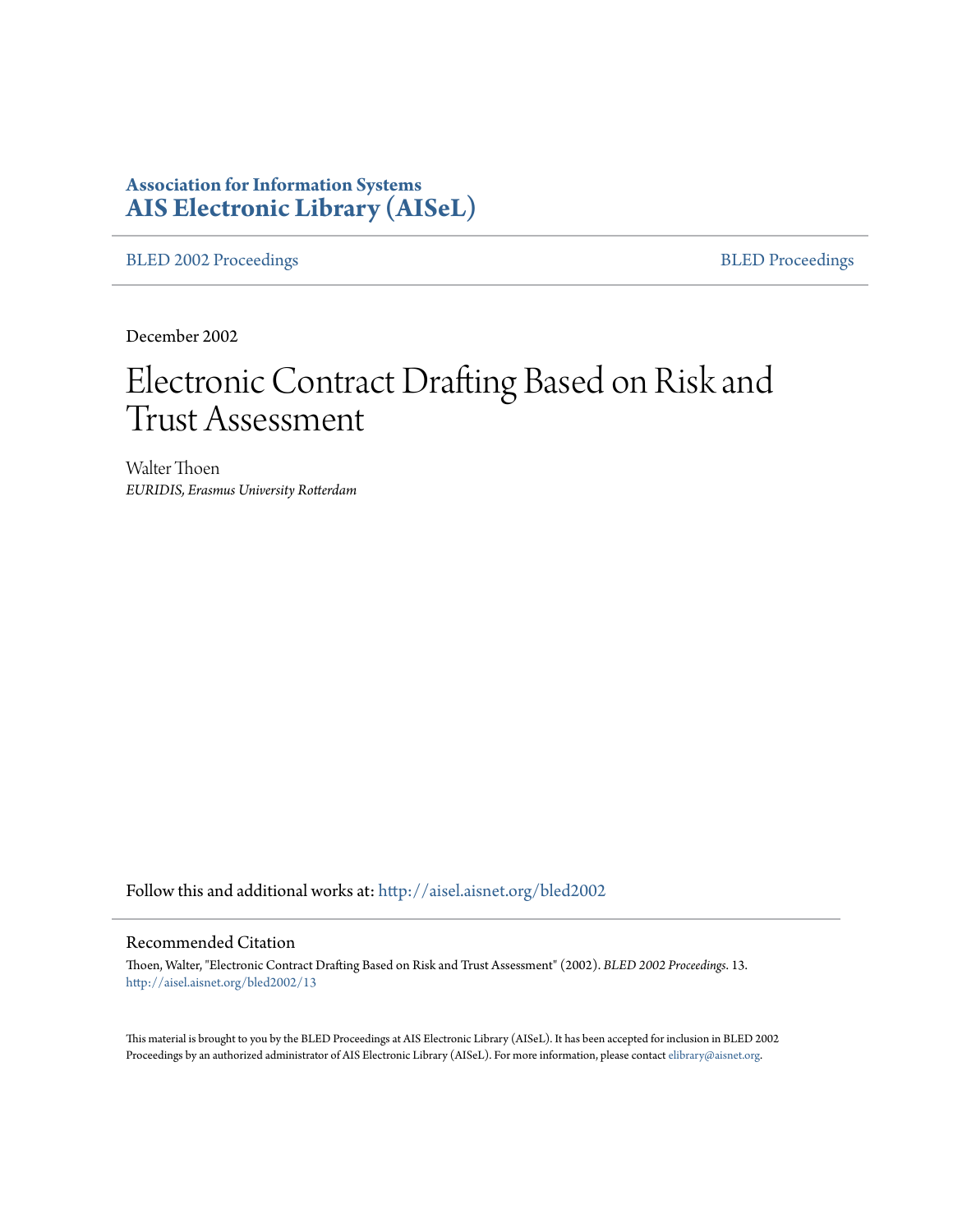# **Association for Information Systems [AIS Electronic Library \(AISeL\)](http://aisel.aisnet.org?utm_source=aisel.aisnet.org%2Fbled2002%2F13&utm_medium=PDF&utm_campaign=PDFCoverPages)**

[BLED 2002 Proceedings](http://aisel.aisnet.org/bled2002?utm_source=aisel.aisnet.org%2Fbled2002%2F13&utm_medium=PDF&utm_campaign=PDFCoverPages) **[BLED Proceedings](http://aisel.aisnet.org/bled?utm_source=aisel.aisnet.org%2Fbled2002%2F13&utm_medium=PDF&utm_campaign=PDFCoverPages)** 

December 2002

# Electronic Contract Drafting Based on Risk and Trust Assessment

Walter Thoen *EURIDIS, Erasmus University Rotterdam*

Follow this and additional works at: [http://aisel.aisnet.org/bled2002](http://aisel.aisnet.org/bled2002?utm_source=aisel.aisnet.org%2Fbled2002%2F13&utm_medium=PDF&utm_campaign=PDFCoverPages)

#### Recommended Citation

Thoen, Walter, "Electronic Contract Drafting Based on Risk and Trust Assessment" (2002). *BLED 2002 Proceedings*. 13. [http://aisel.aisnet.org/bled2002/13](http://aisel.aisnet.org/bled2002/13?utm_source=aisel.aisnet.org%2Fbled2002%2F13&utm_medium=PDF&utm_campaign=PDFCoverPages)

This material is brought to you by the BLED Proceedings at AIS Electronic Library (AISeL). It has been accepted for inclusion in BLED 2002 Proceedings by an authorized administrator of AIS Electronic Library (AISeL). For more information, please contact [elibrary@aisnet.org](mailto:elibrary@aisnet.org%3E).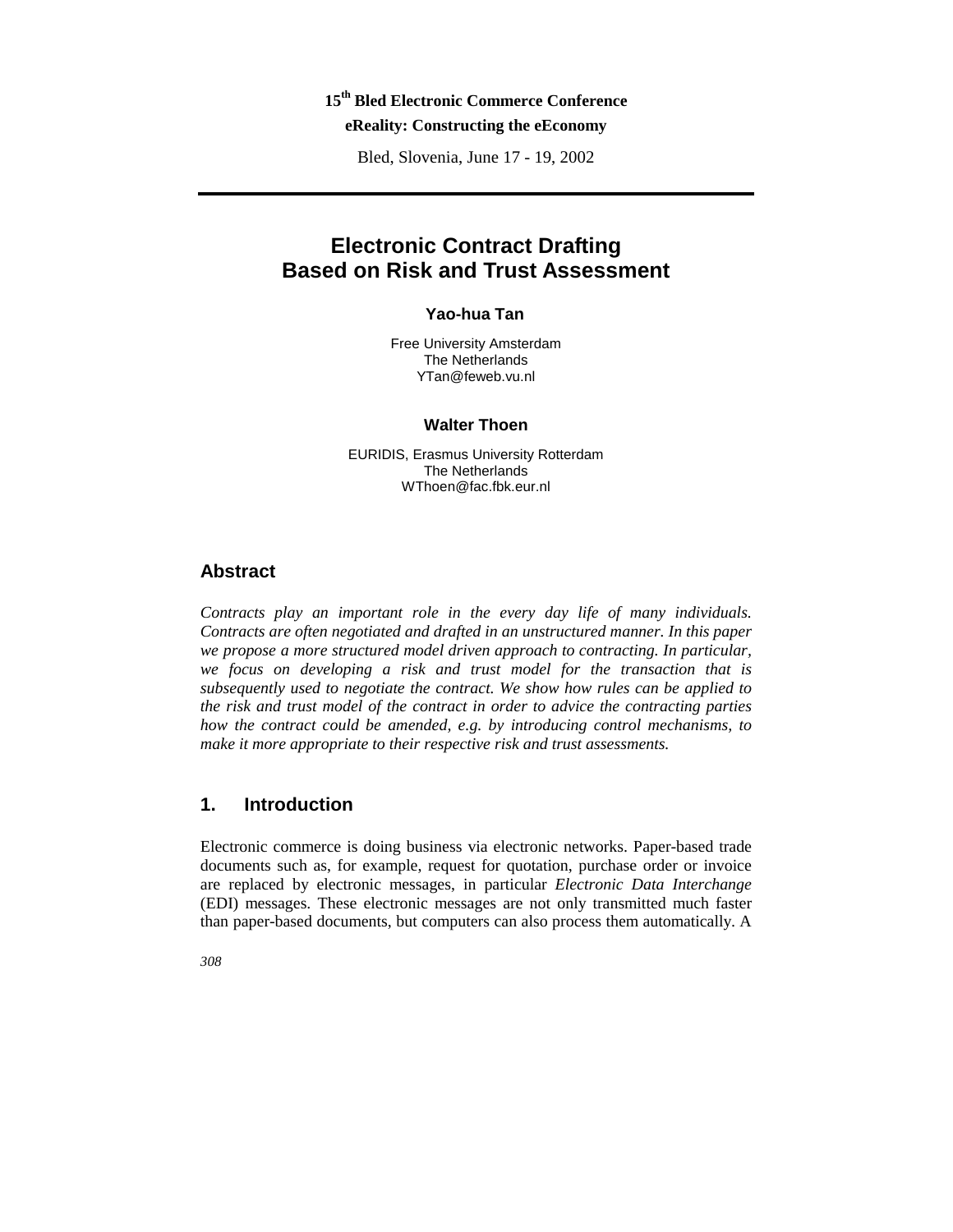# **15th Bled Electronic Commerce Conference**

### **eReality: Constructing the eEconomy**

Bled, Slovenia, June 17 - 19, 2002

## **Electronic Contract Drafting Based on Risk and Trust Assessment**

#### **Yao-hua Tan**

Free University Amsterdam The Netherlands YTan@feweb.vu.nl

#### **Walter Thoen**

EURIDIS, Erasmus University Rotterdam The Netherlands WThoen@fac.fbk.eur.nl

#### **Abstract**

*Contracts play an important role in the every day life of many individuals. Contracts are often negotiated and drafted in an unstructured manner. In this paper we propose a more structured model driven approach to contracting. In particular, we focus on developing a risk and trust model for the transaction that is subsequently used to negotiate the contract. We show how rules can be applied to the risk and trust model of the contract in order to advice the contracting parties how the contract could be amended, e.g. by introducing control mechanisms, to make it more appropriate to their respective risk and trust assessments.* 

#### **1. Introduction**

Electronic commerce is doing business via electronic networks. Paper-based trade documents such as, for example, request for quotation, purchase order or invoice are replaced by electronic messages, in particular *Electronic Data Interchange* (EDI) messages. These electronic messages are not only transmitted much faster than paper-based documents, but computers can also process them automatically. A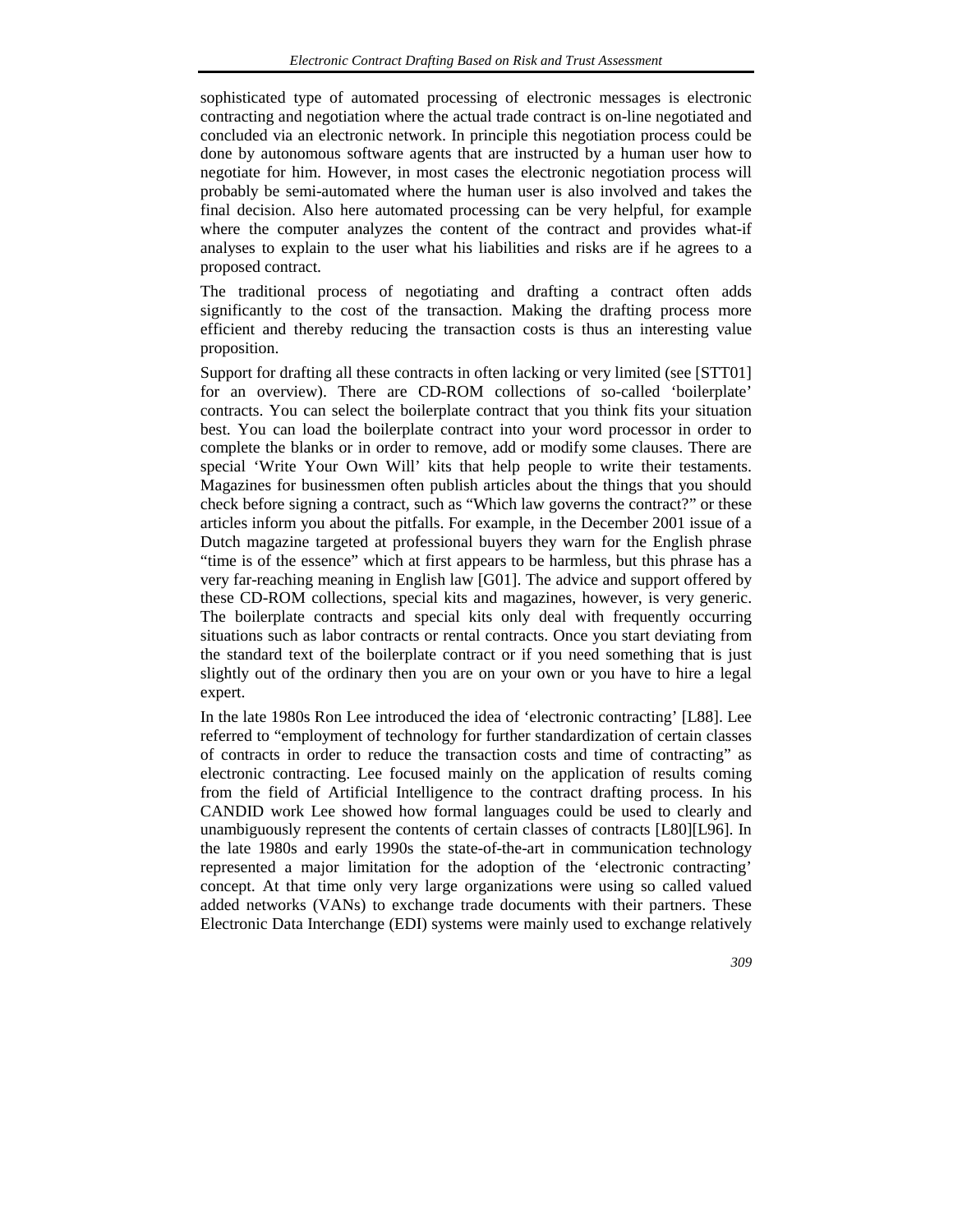sophisticated type of automated processing of electronic messages is electronic contracting and negotiation where the actual trade contract is on-line negotiated and concluded via an electronic network. In principle this negotiation process could be done by autonomous software agents that are instructed by a human user how to negotiate for him. However, in most cases the electronic negotiation process will probably be semi-automated where the human user is also involved and takes the final decision. Also here automated processing can be very helpful, for example where the computer analyzes the content of the contract and provides what-if analyses to explain to the user what his liabilities and risks are if he agrees to a proposed contract.

The traditional process of negotiating and drafting a contract often adds significantly to the cost of the transaction. Making the drafting process more efficient and thereby reducing the transaction costs is thus an interesting value proposition.

Support for drafting all these contracts in often lacking or very limited (see [STT01] for an overview). There are CD-ROM collections of so-called 'boilerplate' contracts. You can select the boilerplate contract that you think fits your situation best. You can load the boilerplate contract into your word processor in order to complete the blanks or in order to remove, add or modify some clauses. There are special 'Write Your Own Will' kits that help people to write their testaments. Magazines for businessmen often publish articles about the things that you should check before signing a contract, such as "Which law governs the contract?" or these articles inform you about the pitfalls. For example, in the December 2001 issue of a Dutch magazine targeted at professional buyers they warn for the English phrase "time is of the essence" which at first appears to be harmless, but this phrase has a very far-reaching meaning in English law [G01]. The advice and support offered by these CD-ROM collections, special kits and magazines, however, is very generic. The boilerplate contracts and special kits only deal with frequently occurring situations such as labor contracts or rental contracts. Once you start deviating from the standard text of the boilerplate contract or if you need something that is just slightly out of the ordinary then you are on your own or you have to hire a legal expert.

In the late 1980s Ron Lee introduced the idea of 'electronic contracting' [L88]. Lee referred to "employment of technology for further standardization of certain classes of contracts in order to reduce the transaction costs and time of contracting" as electronic contracting. Lee focused mainly on the application of results coming from the field of Artificial Intelligence to the contract drafting process. In his CANDID work Lee showed how formal languages could be used to clearly and unambiguously represent the contents of certain classes of contracts [L80][L96]. In the late 1980s and early 1990s the state-of-the-art in communication technology represented a major limitation for the adoption of the 'electronic contracting' concept. At that time only very large organizations were using so called valued added networks (VANs) to exchange trade documents with their partners. These Electronic Data Interchange (EDI) systems were mainly used to exchange relatively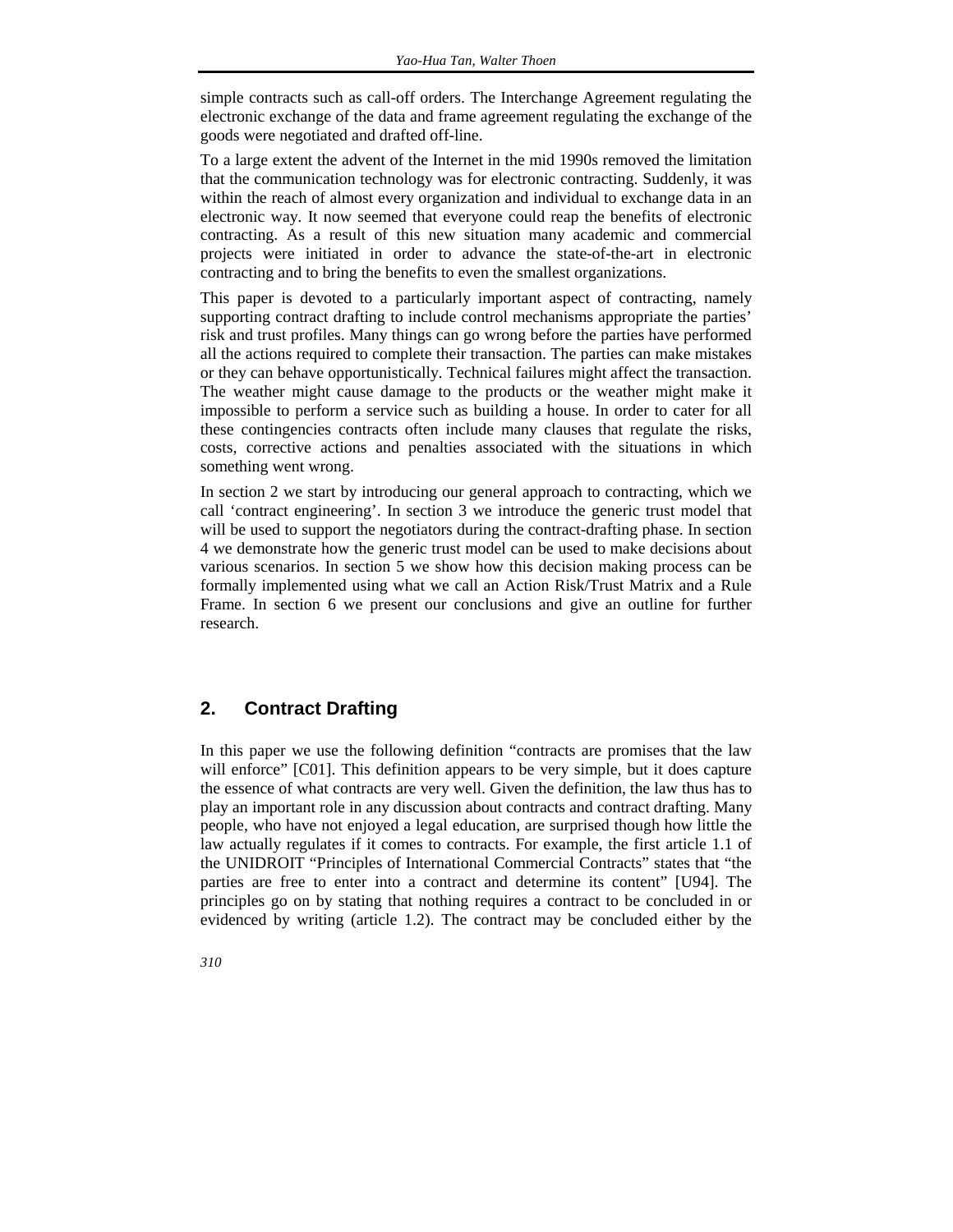simple contracts such as call-off orders. The Interchange Agreement regulating the electronic exchange of the data and frame agreement regulating the exchange of the goods were negotiated and drafted off-line.

To a large extent the advent of the Internet in the mid 1990s removed the limitation that the communication technology was for electronic contracting. Suddenly, it was within the reach of almost every organization and individual to exchange data in an electronic way. It now seemed that everyone could reap the benefits of electronic contracting. As a result of this new situation many academic and commercial projects were initiated in order to advance the state-of-the-art in electronic contracting and to bring the benefits to even the smallest organizations.

This paper is devoted to a particularly important aspect of contracting, namely supporting contract drafting to include control mechanisms appropriate the parties' risk and trust profiles. Many things can go wrong before the parties have performed all the actions required to complete their transaction. The parties can make mistakes or they can behave opportunistically. Technical failures might affect the transaction. The weather might cause damage to the products or the weather might make it impossible to perform a service such as building a house. In order to cater for all these contingencies contracts often include many clauses that regulate the risks, costs, corrective actions and penalties associated with the situations in which something went wrong.

In section 2 we start by introducing our general approach to contracting, which we call 'contract engineering'. In section 3 we introduce the generic trust model that will be used to support the negotiators during the contract-drafting phase. In section 4 we demonstrate how the generic trust model can be used to make decisions about various scenarios. In section 5 we show how this decision making process can be formally implemented using what we call an Action Risk/Trust Matrix and a Rule Frame. In section 6 we present our conclusions and give an outline for further research.

#### **2. Contract Drafting**

In this paper we use the following definition "contracts are promises that the law will enforce" [C01]. This definition appears to be very simple, but it does capture the essence of what contracts are very well. Given the definition, the law thus has to play an important role in any discussion about contracts and contract drafting. Many people, who have not enjoyed a legal education, are surprised though how little the law actually regulates if it comes to contracts. For example, the first article 1.1 of the UNIDROIT "Principles of International Commercial Contracts" states that "the parties are free to enter into a contract and determine its content" [U94]. The principles go on by stating that nothing requires a contract to be concluded in or evidenced by writing (article 1.2). The contract may be concluded either by the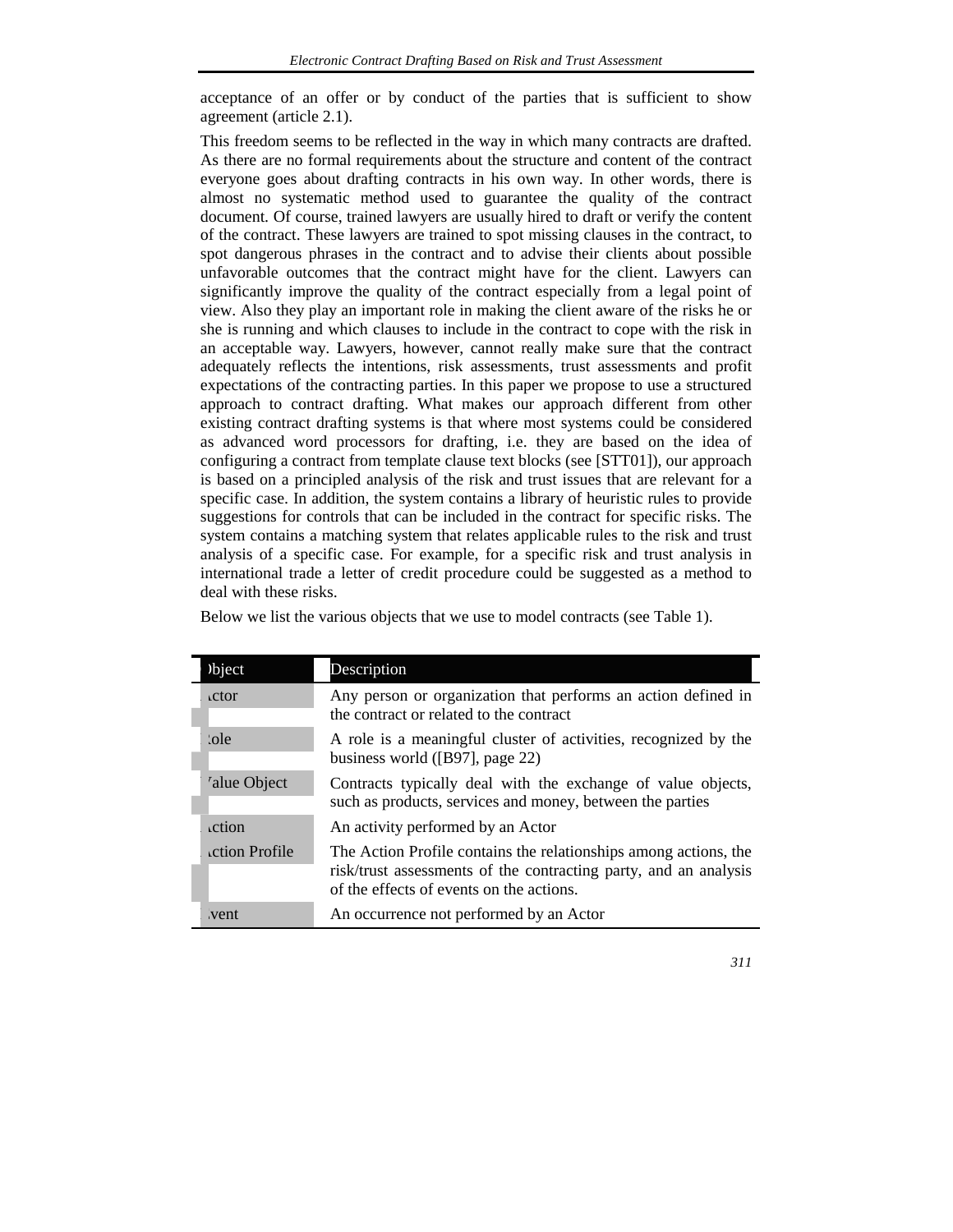acceptance of an offer or by conduct of the parties that is sufficient to show agreement (article 2.1).

This freedom seems to be reflected in the way in which many contracts are drafted. As there are no formal requirements about the structure and content of the contract everyone goes about drafting contracts in his own way. In other words, there is almost no systematic method used to guarantee the quality of the contract document. Of course, trained lawyers are usually hired to draft or verify the content of the contract. These lawyers are trained to spot missing clauses in the contract, to spot dangerous phrases in the contract and to advise their clients about possible unfavorable outcomes that the contract might have for the client. Lawyers can significantly improve the quality of the contract especially from a legal point of view. Also they play an important role in making the client aware of the risks he or she is running and which clauses to include in the contract to cope with the risk in an acceptable way. Lawyers, however, cannot really make sure that the contract adequately reflects the intentions, risk assessments, trust assessments and profit expectations of the contracting parties. In this paper we propose to use a structured approach to contract drafting. What makes our approach different from other existing contract drafting systems is that where most systems could be considered as advanced word processors for drafting, i.e. they are based on the idea of configuring a contract from template clause text blocks (see [STT01]), our approach is based on a principled analysis of the risk and trust issues that are relevant for a specific case. In addition, the system contains a library of heuristic rules to provide suggestions for controls that can be included in the contract for specific risks. The system contains a matching system that relates applicable rules to the risk and trust analysis of a specific case. For example, for a specific risk and trust analysis in international trade a letter of credit procedure could be suggested as a method to deal with these risks.

Below we list the various objects that we use to model contracts (see Table 1).

| bject         | Description                                                                                                                                                                      |
|---------------|----------------------------------------------------------------------------------------------------------------------------------------------------------------------------------|
| <b>ctor</b>   | Any person or organization that performs an action defined in<br>the contract or related to the contract                                                                         |
| :ole          | A role is a meaningful cluster of activities, recognized by the<br>business world ([B97], page 22)                                                                               |
| 'alue Object  | Contracts typically deal with the exchange of value objects,<br>such as products, services and money, between the parties                                                        |
| .ction        | An activity performed by an Actor                                                                                                                                                |
| ction Profile | The Action Profile contains the relationships among actions, the<br>risk/trust assessments of the contracting party, and an analysis<br>of the effects of events on the actions. |
| vent          | An occurrence not performed by an Actor                                                                                                                                          |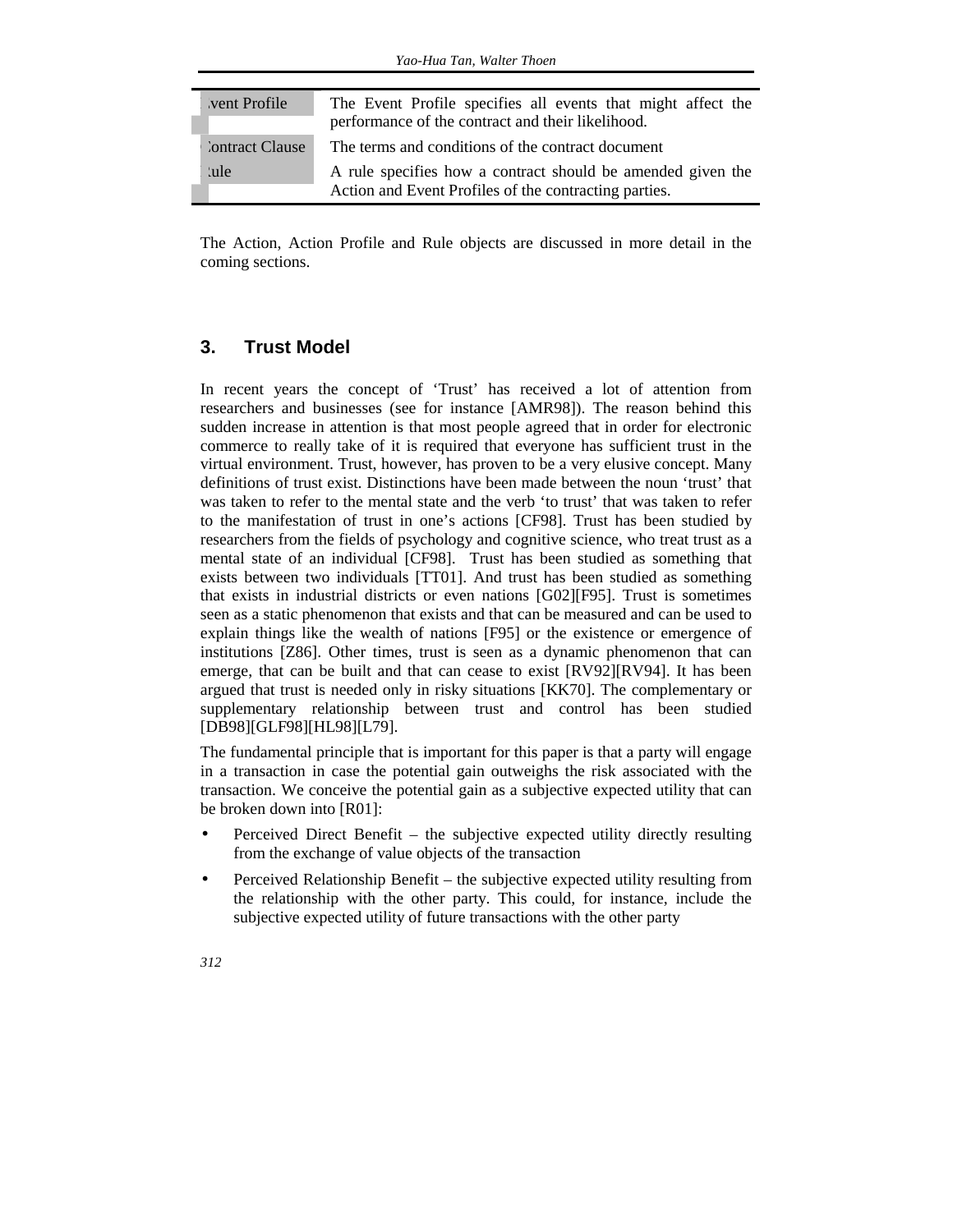| vent Profile    | The Event Profile specifies all events that might affect the |
|-----------------|--------------------------------------------------------------|
|                 | performance of the contract and their likelihood.            |
| 'ontract Clause | The terms and conditions of the contract document            |
| ule:            | A rule specifies how a contract should be amended given the  |
|                 | Action and Event Profiles of the contracting parties.        |

The Action, Action Profile and Rule objects are discussed in more detail in the coming sections.

#### **3. Trust Model**

In recent years the concept of 'Trust' has received a lot of attention from researchers and businesses (see for instance [AMR98]). The reason behind this sudden increase in attention is that most people agreed that in order for electronic commerce to really take of it is required that everyone has sufficient trust in the virtual environment. Trust, however, has proven to be a very elusive concept. Many definitions of trust exist. Distinctions have been made between the noun 'trust' that was taken to refer to the mental state and the verb 'to trust' that was taken to refer to the manifestation of trust in one's actions [CF98]. Trust has been studied by researchers from the fields of psychology and cognitive science, who treat trust as a mental state of an individual [CF98]. Trust has been studied as something that exists between two individuals [TT01]. And trust has been studied as something that exists in industrial districts or even nations [G02][F95]. Trust is sometimes seen as a static phenomenon that exists and that can be measured and can be used to explain things like the wealth of nations [F95] or the existence or emergence of institutions [Z86]. Other times, trust is seen as a dynamic phenomenon that can emerge, that can be built and that can cease to exist [RV92][RV94]. It has been argued that trust is needed only in risky situations [KK70]. The complementary or supplementary relationship between trust and control has been studied [DB98][GLF98][HL98][L79].

The fundamental principle that is important for this paper is that a party will engage in a transaction in case the potential gain outweighs the risk associated with the transaction. We conceive the potential gain as a subjective expected utility that can be broken down into [R01]:

- Perceived Direct Benefit the subjective expected utility directly resulting from the exchange of value objects of the transaction
- Perceived Relationship Benefit the subjective expected utility resulting from the relationship with the other party. This could, for instance, include the subjective expected utility of future transactions with the other party
- *312*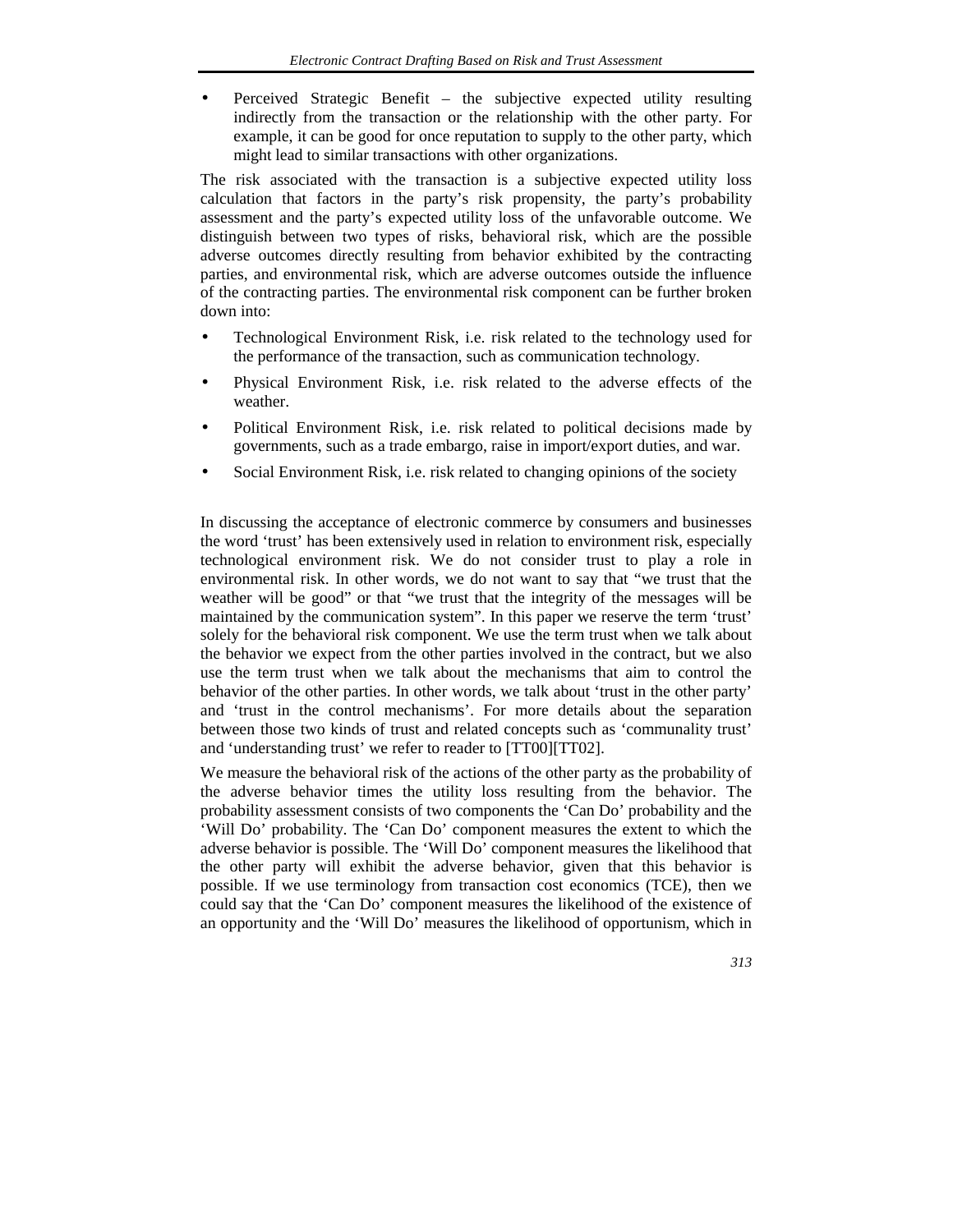• Perceived Strategic Benefit – the subjective expected utility resulting indirectly from the transaction or the relationship with the other party. For example, it can be good for once reputation to supply to the other party, which might lead to similar transactions with other organizations.

The risk associated with the transaction is a subjective expected utility loss calculation that factors in the party's risk propensity, the party's probability assessment and the party's expected utility loss of the unfavorable outcome. We distinguish between two types of risks, behavioral risk, which are the possible adverse outcomes directly resulting from behavior exhibited by the contracting parties, and environmental risk, which are adverse outcomes outside the influence of the contracting parties. The environmental risk component can be further broken down into:

- Technological Environment Risk, i.e. risk related to the technology used for the performance of the transaction, such as communication technology.
- Physical Environment Risk, i.e. risk related to the adverse effects of the weather.
- Political Environment Risk, i.e. risk related to political decisions made by governments, such as a trade embargo, raise in import/export duties, and war.
- Social Environment Risk, i.e. risk related to changing opinions of the society

In discussing the acceptance of electronic commerce by consumers and businesses the word 'trust' has been extensively used in relation to environment risk, especially technological environment risk. We do not consider trust to play a role in environmental risk. In other words, we do not want to say that "we trust that the weather will be good" or that "we trust that the integrity of the messages will be maintained by the communication system". In this paper we reserve the term 'trust' solely for the behavioral risk component. We use the term trust when we talk about the behavior we expect from the other parties involved in the contract, but we also use the term trust when we talk about the mechanisms that aim to control the behavior of the other parties. In other words, we talk about 'trust in the other party' and 'trust in the control mechanisms'. For more details about the separation between those two kinds of trust and related concepts such as 'communality trust' and 'understanding trust' we refer to reader to [TT00][TT02].

We measure the behavioral risk of the actions of the other party as the probability of the adverse behavior times the utility loss resulting from the behavior. The probability assessment consists of two components the 'Can Do' probability and the 'Will Do' probability. The 'Can Do' component measures the extent to which the adverse behavior is possible. The 'Will Do' component measures the likelihood that the other party will exhibit the adverse behavior, given that this behavior is possible. If we use terminology from transaction cost economics (TCE), then we could say that the 'Can Do' component measures the likelihood of the existence of an opportunity and the 'Will Do' measures the likelihood of opportunism, which in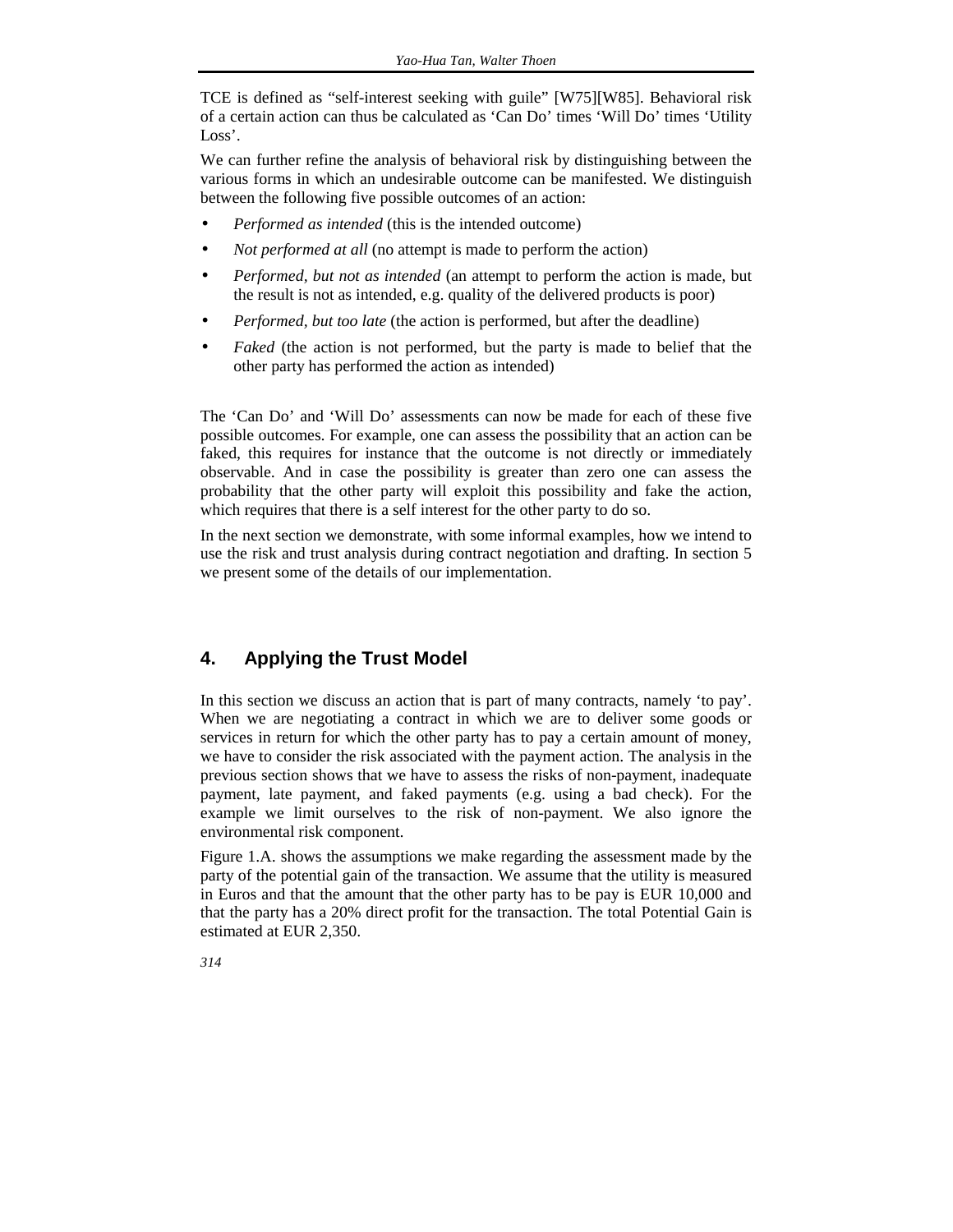TCE is defined as "self-interest seeking with guile" [W75][W85]. Behavioral risk of a certain action can thus be calculated as 'Can Do' times 'Will Do' times 'Utility Loss'.

We can further refine the analysis of behavioral risk by distinguishing between the various forms in which an undesirable outcome can be manifested. We distinguish between the following five possible outcomes of an action:

- *Performed as intended* (this is the intended outcome)
- *Not performed at all* (no attempt is made to perform the action)
- *Performed, but not as intended* (an attempt to perform the action is made, but the result is not as intended, e.g. quality of the delivered products is poor)
- *Performed, but too late* (the action is performed, but after the deadline)
- *Faked* (the action is not performed, but the party is made to belief that the other party has performed the action as intended)

The 'Can Do' and 'Will Do' assessments can now be made for each of these five possible outcomes. For example, one can assess the possibility that an action can be faked, this requires for instance that the outcome is not directly or immediately observable. And in case the possibility is greater than zero one can assess the probability that the other party will exploit this possibility and fake the action, which requires that there is a self interest for the other party to do so.

In the next section we demonstrate, with some informal examples, how we intend to use the risk and trust analysis during contract negotiation and drafting. In section 5 we present some of the details of our implementation.

#### **4. Applying the Trust Model**

In this section we discuss an action that is part of many contracts, namely 'to pay'. When we are negotiating a contract in which we are to deliver some goods or services in return for which the other party has to pay a certain amount of money, we have to consider the risk associated with the payment action. The analysis in the previous section shows that we have to assess the risks of non-payment, inadequate payment, late payment, and faked payments (e.g. using a bad check). For the example we limit ourselves to the risk of non-payment. We also ignore the environmental risk component.

Figure 1.A. shows the assumptions we make regarding the assessment made by the party of the potential gain of the transaction. We assume that the utility is measured in Euros and that the amount that the other party has to be pay is EUR 10,000 and that the party has a 20% direct profit for the transaction. The total Potential Gain is estimated at EUR 2,350.

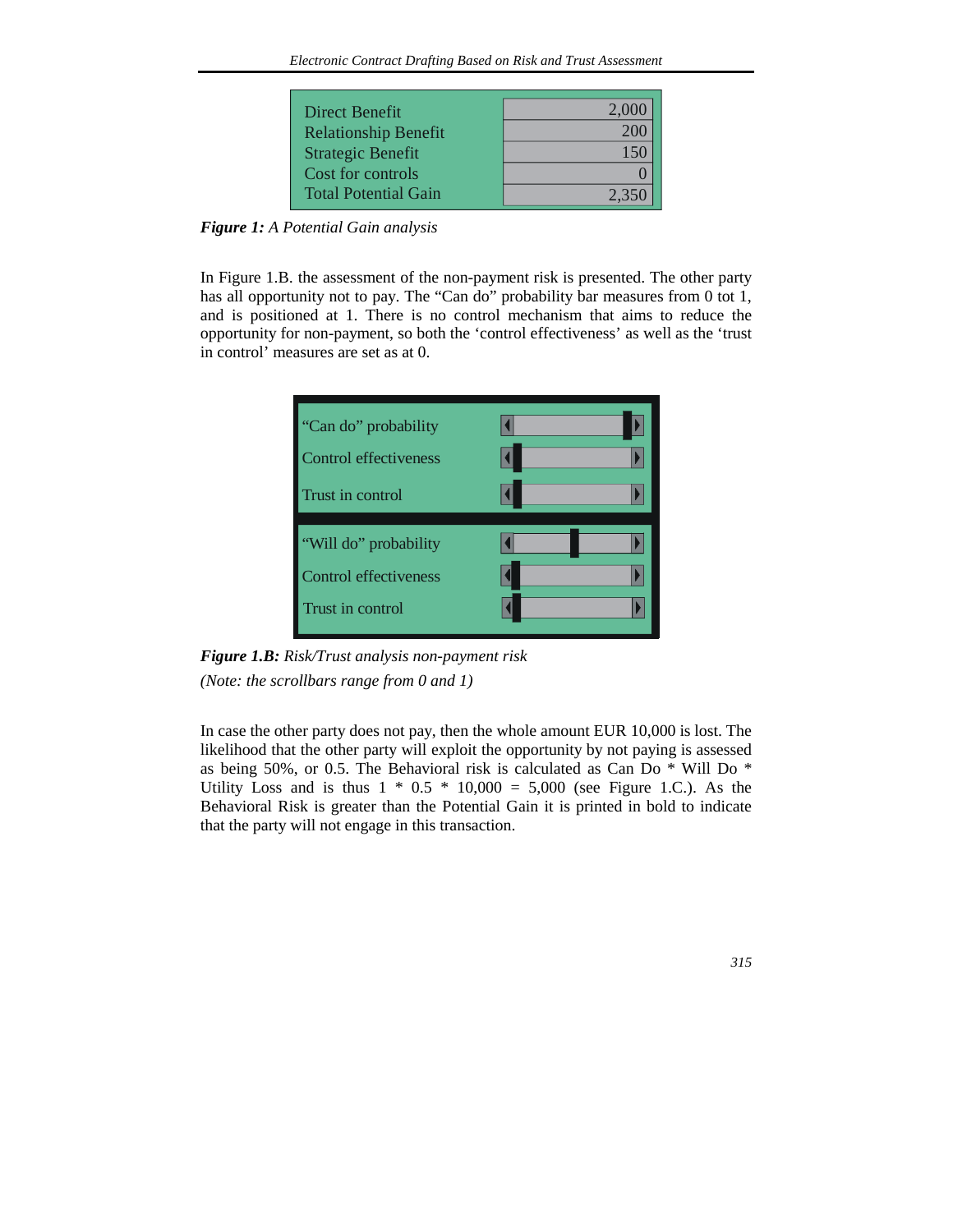| Direct Benefit              | 2.000 |
|-----------------------------|-------|
| <b>Relationship Benefit</b> |       |
| <b>Strategic Benefit</b>    |       |
| Cost for controls           |       |
| <b>Total Potential Gain</b> | 2.350 |

*Figure 1: A Potential Gain analysis* 

In Figure 1.B. the assessment of the non-payment risk is presented. The other party has all opportunity not to pay. The "Can do" probability bar measures from 0 tot 1, and is positioned at 1. There is no control mechanism that aims to reduce the opportunity for non-payment, so both the 'control effectiveness' as well as the 'trust in control' measures are set as at 0.



*Figure 1.B: Risk/Trust analysis non-payment risk (Note: the scrollbars range from 0 and 1)* 

In case the other party does not pay, then the whole amount EUR 10,000 is lost. The likelihood that the other party will exploit the opportunity by not paying is assessed as being 50%, or 0.5. The Behavioral risk is calculated as Can Do \* Will Do \* Utility Loss and is thus  $1 * 0.5 * 10,000 = 5,000$  (see Figure 1.C.). As the Behavioral Risk is greater than the Potential Gain it is printed in bold to indicate that the party will not engage in this transaction.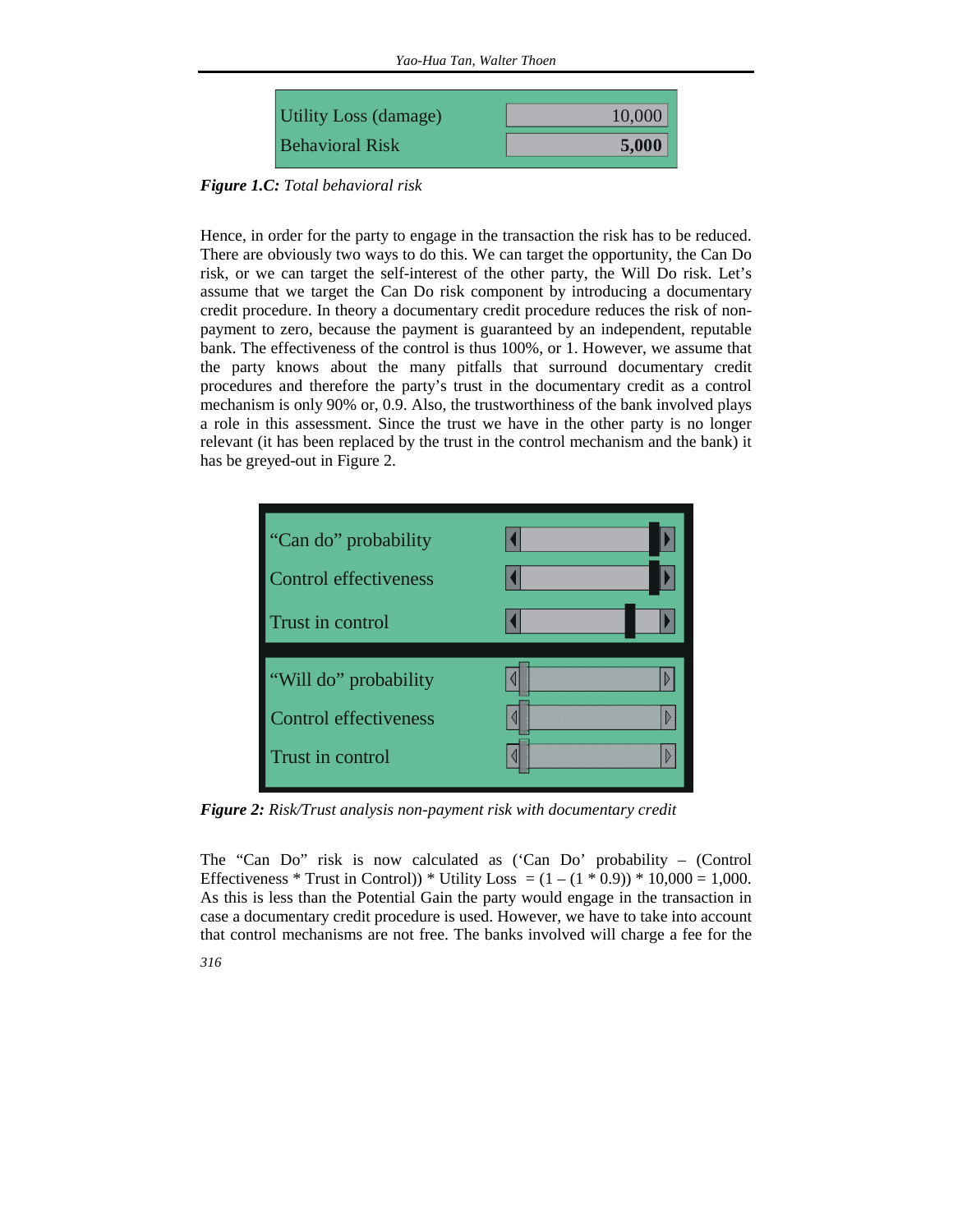

*Figure 1.C: Total behavioral risk* 

Hence, in order for the party to engage in the transaction the risk has to be reduced. There are obviously two ways to do this. We can target the opportunity, the Can Do risk, or we can target the self-interest of the other party, the Will Do risk. Let's assume that we target the Can Do risk component by introducing a documentary credit procedure. In theory a documentary credit procedure reduces the risk of nonpayment to zero, because the payment is guaranteed by an independent, reputable bank. The effectiveness of the control is thus 100%, or 1. However, we assume that the party knows about the many pitfalls that surround documentary credit procedures and therefore the party's trust in the documentary credit as a control mechanism is only 90% or, 0.9. Also, the trustworthiness of the bank involved plays a role in this assessment. Since the trust we have in the other party is no longer relevant (it has been replaced by the trust in the control mechanism and the bank) it has be greyed-out in Figure 2.



*Figure 2: Risk/Trust analysis non-payment risk with documentary credit* 

The "Can Do" risk is now calculated as ('Can Do' probability – (Control Effectiveness \* Trust in Control)) \* Utility Loss =  $(1 - (1 * 0.9)) * 10,000 = 1,000$ . As this is less than the Potential Gain the party would engage in the transaction in case a documentary credit procedure is used. However, we have to take into account that control mechanisms are not free. The banks involved will charge a fee for the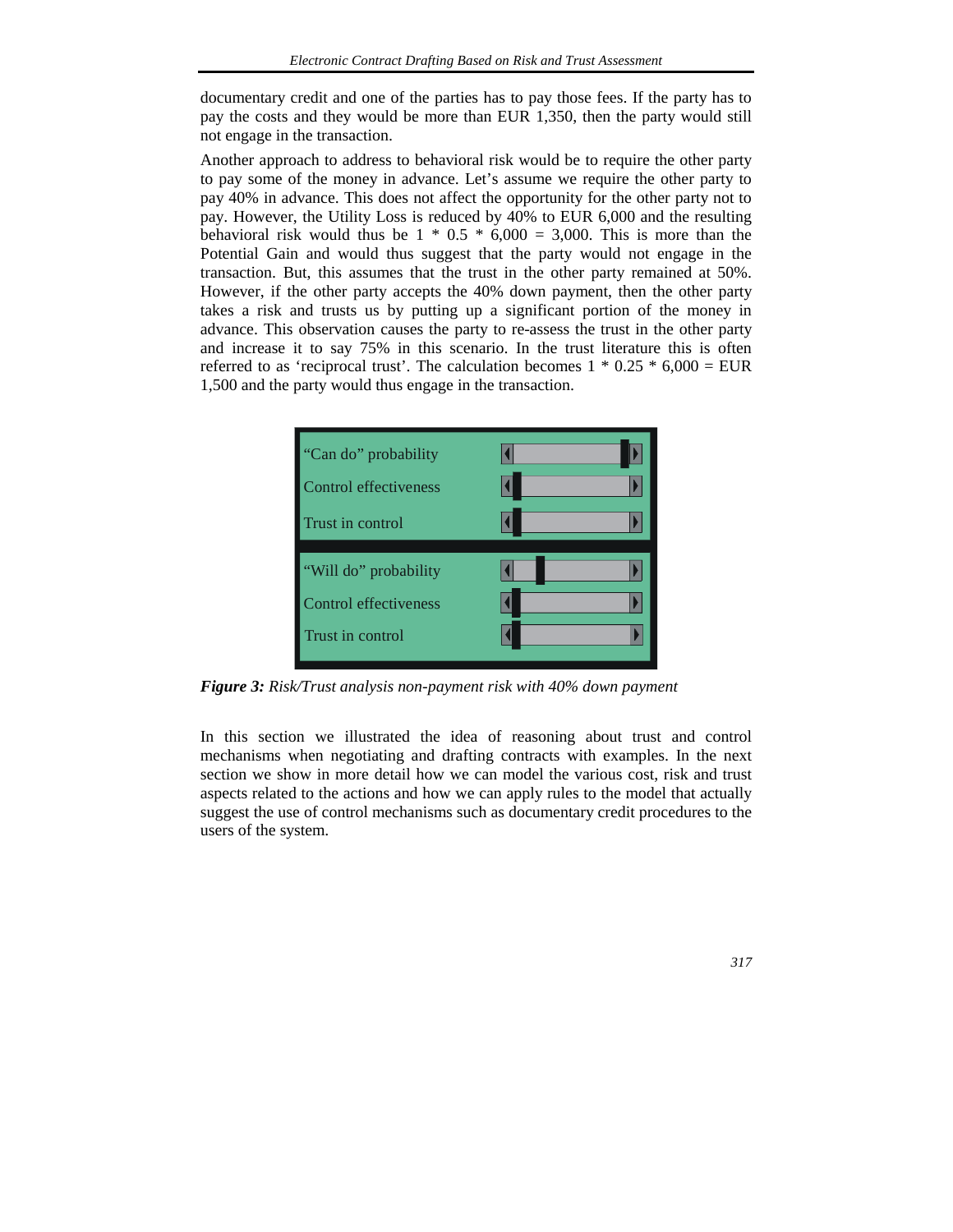documentary credit and one of the parties has to pay those fees. If the party has to pay the costs and they would be more than EUR 1,350, then the party would still not engage in the transaction.

Another approach to address to behavioral risk would be to require the other party to pay some of the money in advance. Let's assume we require the other party to pay 40% in advance. This does not affect the opportunity for the other party not to pay. However, the Utility Loss is reduced by 40% to EUR 6,000 and the resulting behavioral risk would thus be  $1 * 0.5 * 6,000 = 3,000$ . This is more than the Potential Gain and would thus suggest that the party would not engage in the transaction. But, this assumes that the trust in the other party remained at 50%. However, if the other party accepts the 40% down payment, then the other party takes a risk and trusts us by putting up a significant portion of the money in advance. This observation causes the party to re-assess the trust in the other party and increase it to say 75% in this scenario. In the trust literature this is often referred to as 'reciprocal trust'. The calculation becomes  $1 * 0.25 * 6,000 = EUR$ 1,500 and the party would thus engage in the transaction.



*Figure 3: Risk/Trust analysis non-payment risk with 40% down payment* 

In this section we illustrated the idea of reasoning about trust and control mechanisms when negotiating and drafting contracts with examples. In the next section we show in more detail how we can model the various cost, risk and trust aspects related to the actions and how we can apply rules to the model that actually suggest the use of control mechanisms such as documentary credit procedures to the users of the system.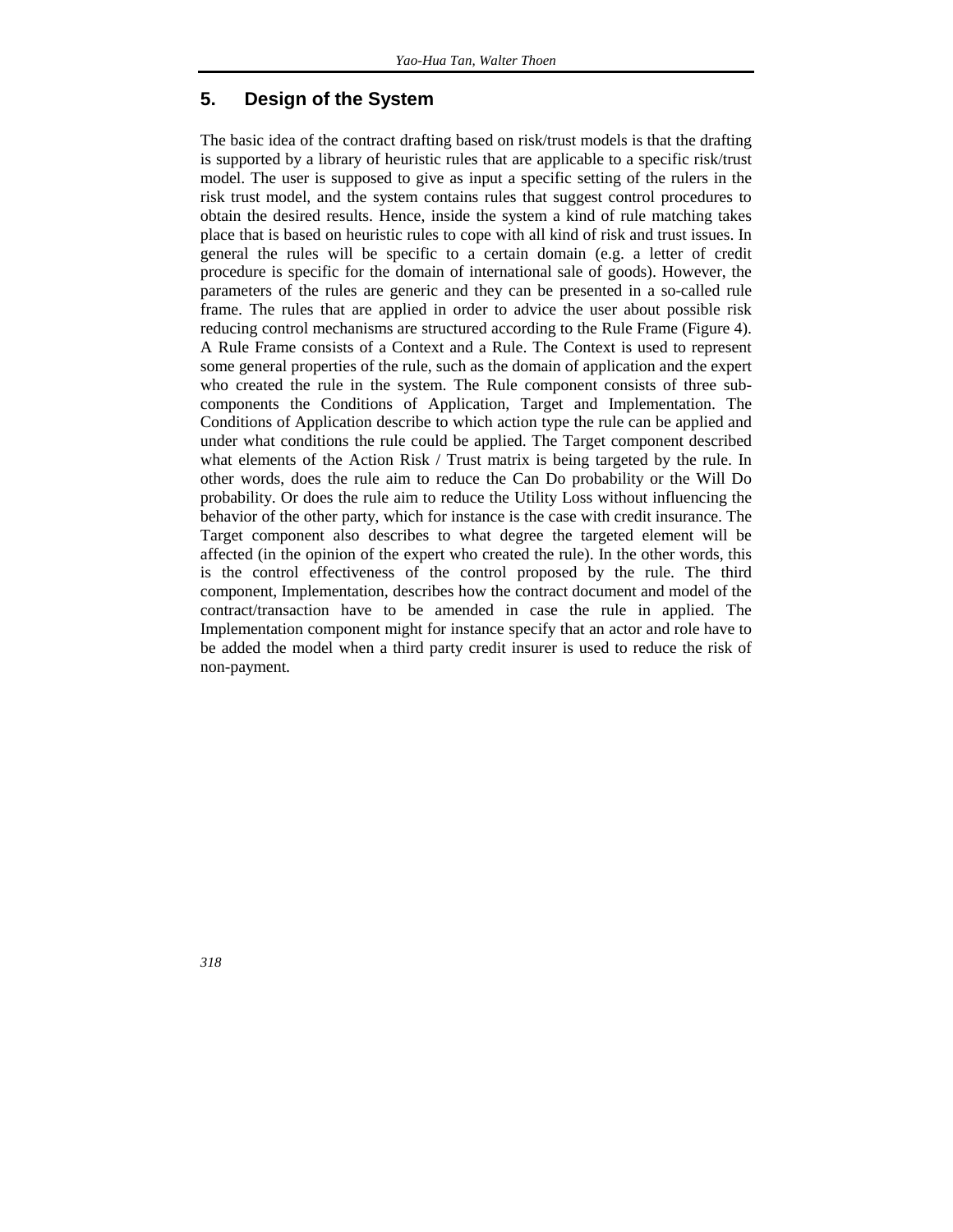#### **5. Design of the System**

The basic idea of the contract drafting based on risk/trust models is that the drafting is supported by a library of heuristic rules that are applicable to a specific risk/trust model. The user is supposed to give as input a specific setting of the rulers in the risk trust model, and the system contains rules that suggest control procedures to obtain the desired results. Hence, inside the system a kind of rule matching takes place that is based on heuristic rules to cope with all kind of risk and trust issues. In general the rules will be specific to a certain domain (e.g. a letter of credit procedure is specific for the domain of international sale of goods). However, the parameters of the rules are generic and they can be presented in a so-called rule frame. The rules that are applied in order to advice the user about possible risk reducing control mechanisms are structured according to the Rule Frame (Figure 4). A Rule Frame consists of a Context and a Rule. The Context is used to represent some general properties of the rule, such as the domain of application and the expert who created the rule in the system. The Rule component consists of three subcomponents the Conditions of Application, Target and Implementation. The Conditions of Application describe to which action type the rule can be applied and under what conditions the rule could be applied. The Target component described what elements of the Action Risk / Trust matrix is being targeted by the rule. In other words, does the rule aim to reduce the Can Do probability or the Will Do probability. Or does the rule aim to reduce the Utility Loss without influencing the behavior of the other party, which for instance is the case with credit insurance. The Target component also describes to what degree the targeted element will be affected (in the opinion of the expert who created the rule). In the other words, this is the control effectiveness of the control proposed by the rule. The third component, Implementation, describes how the contract document and model of the contract/transaction have to be amended in case the rule in applied. The Implementation component might for instance specify that an actor and role have to be added the model when a third party credit insurer is used to reduce the risk of non-payment.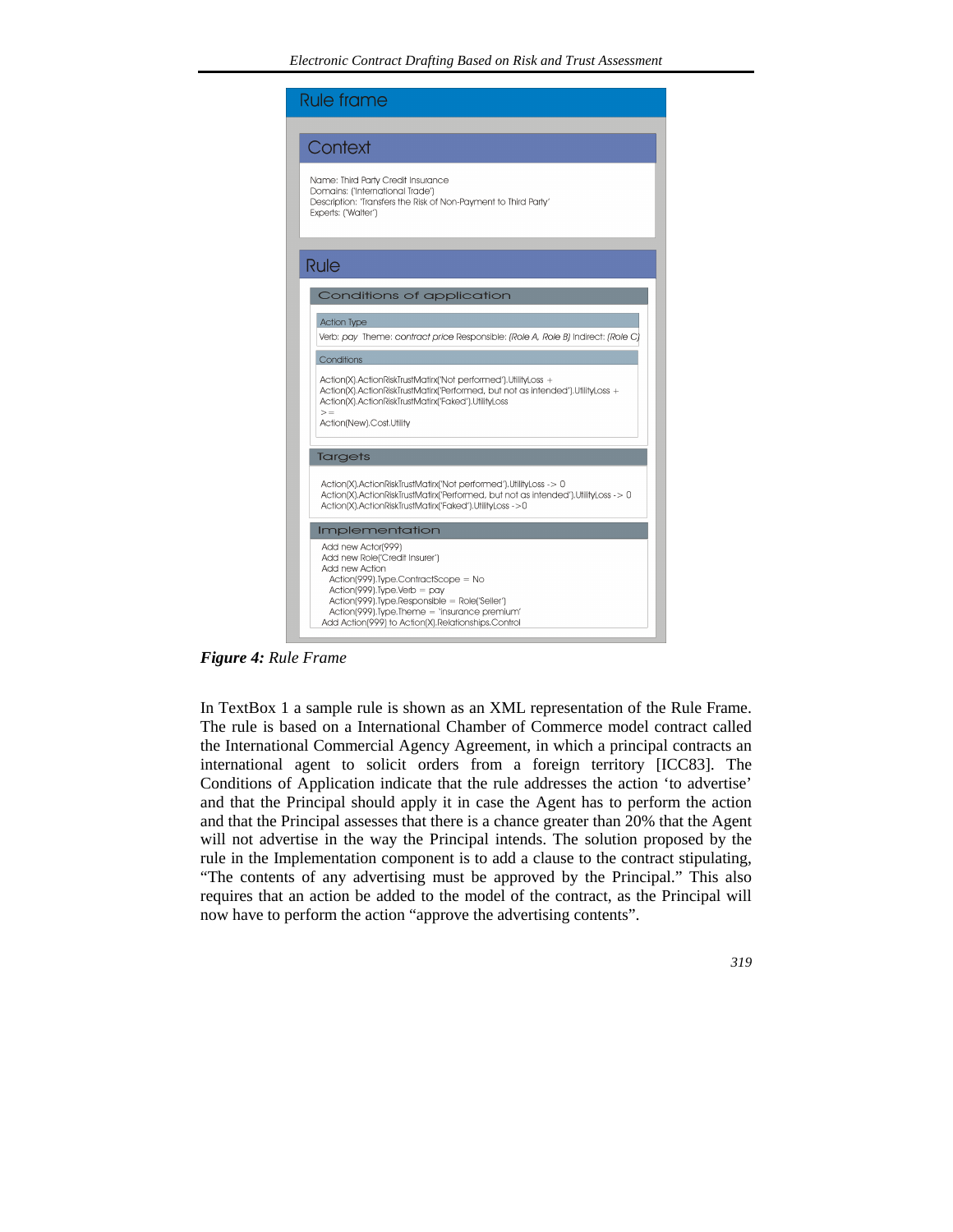

*Figure 4: Rule Frame* 

In TextBox 1 a sample rule is shown as an XML representation of the Rule Frame. The rule is based on a International Chamber of Commerce model contract called the International Commercial Agency Agreement, in which a principal contracts an international agent to solicit orders from a foreign territory [ICC83]. The Conditions of Application indicate that the rule addresses the action 'to advertise' and that the Principal should apply it in case the Agent has to perform the action and that the Principal assesses that there is a chance greater than 20% that the Agent will not advertise in the way the Principal intends. The solution proposed by the rule in the Implementation component is to add a clause to the contract stipulating, "The contents of any advertising must be approved by the Principal." This also requires that an action be added to the model of the contract, as the Principal will now have to perform the action "approve the advertising contents".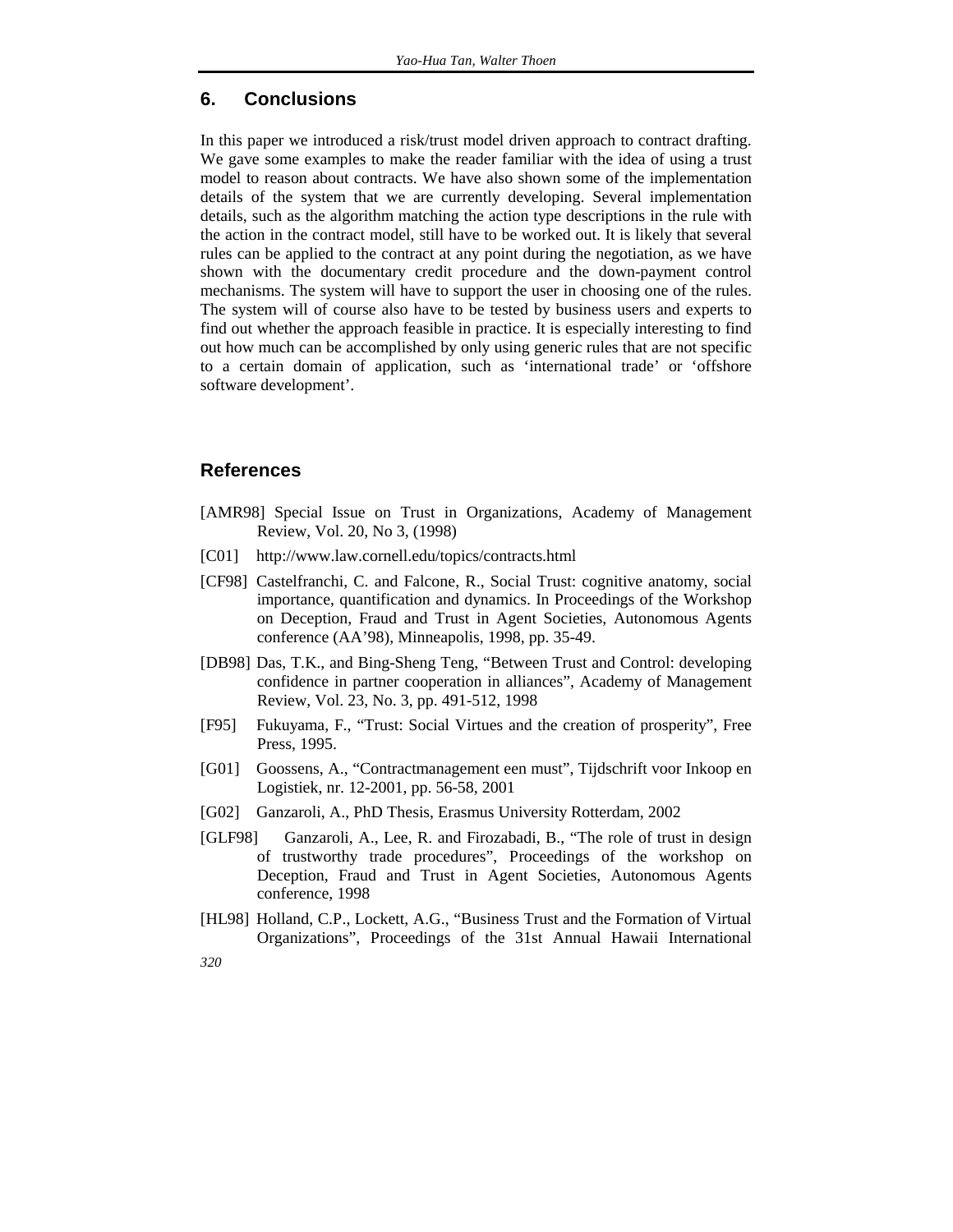#### **6. Conclusions**

In this paper we introduced a risk/trust model driven approach to contract drafting. We gave some examples to make the reader familiar with the idea of using a trust model to reason about contracts. We have also shown some of the implementation details of the system that we are currently developing. Several implementation details, such as the algorithm matching the action type descriptions in the rule with the action in the contract model, still have to be worked out. It is likely that several rules can be applied to the contract at any point during the negotiation, as we have shown with the documentary credit procedure and the down-payment control mechanisms. The system will have to support the user in choosing one of the rules. The system will of course also have to be tested by business users and experts to find out whether the approach feasible in practice. It is especially interesting to find out how much can be accomplished by only using generic rules that are not specific to a certain domain of application, such as 'international trade' or 'offshore software development'.

#### **References**

- [AMR98] Special Issue on Trust in Organizations, Academy of Management Review, Vol. 20, No 3, (1998)
- [C01] http://www.law.cornell.edu/topics/contracts.html
- [CF98] Castelfranchi, C. and Falcone, R., Social Trust: cognitive anatomy, social importance, quantification and dynamics. In Proceedings of the Workshop on Deception, Fraud and Trust in Agent Societies, Autonomous Agents conference (AA'98), Minneapolis, 1998, pp. 35-49.
- [DB98] Das, T.K., and Bing-Sheng Teng, "Between Trust and Control: developing confidence in partner cooperation in alliances", Academy of Management Review, Vol. 23, No. 3, pp. 491-512, 1998
- [F95] Fukuyama, F., "Trust: Social Virtues and the creation of prosperity", Free Press, 1995.
- [G01] Goossens, A., "Contractmanagement een must", Tijdschrift voor Inkoop en Logistiek, nr. 12-2001, pp. 56-58, 2001
- [G02] Ganzaroli, A., PhD Thesis, Erasmus University Rotterdam, 2002
- [GLF98] Ganzaroli, A., Lee, R. and Firozabadi, B., "The role of trust in design of trustworthy trade procedures", Proceedings of the workshop on Deception, Fraud and Trust in Agent Societies, Autonomous Agents conference, 1998
- [HL98] Holland, C.P., Lockett, A.G., "Business Trust and the Formation of Virtual Organizations", Proceedings of the 31st Annual Hawaii International
- *320*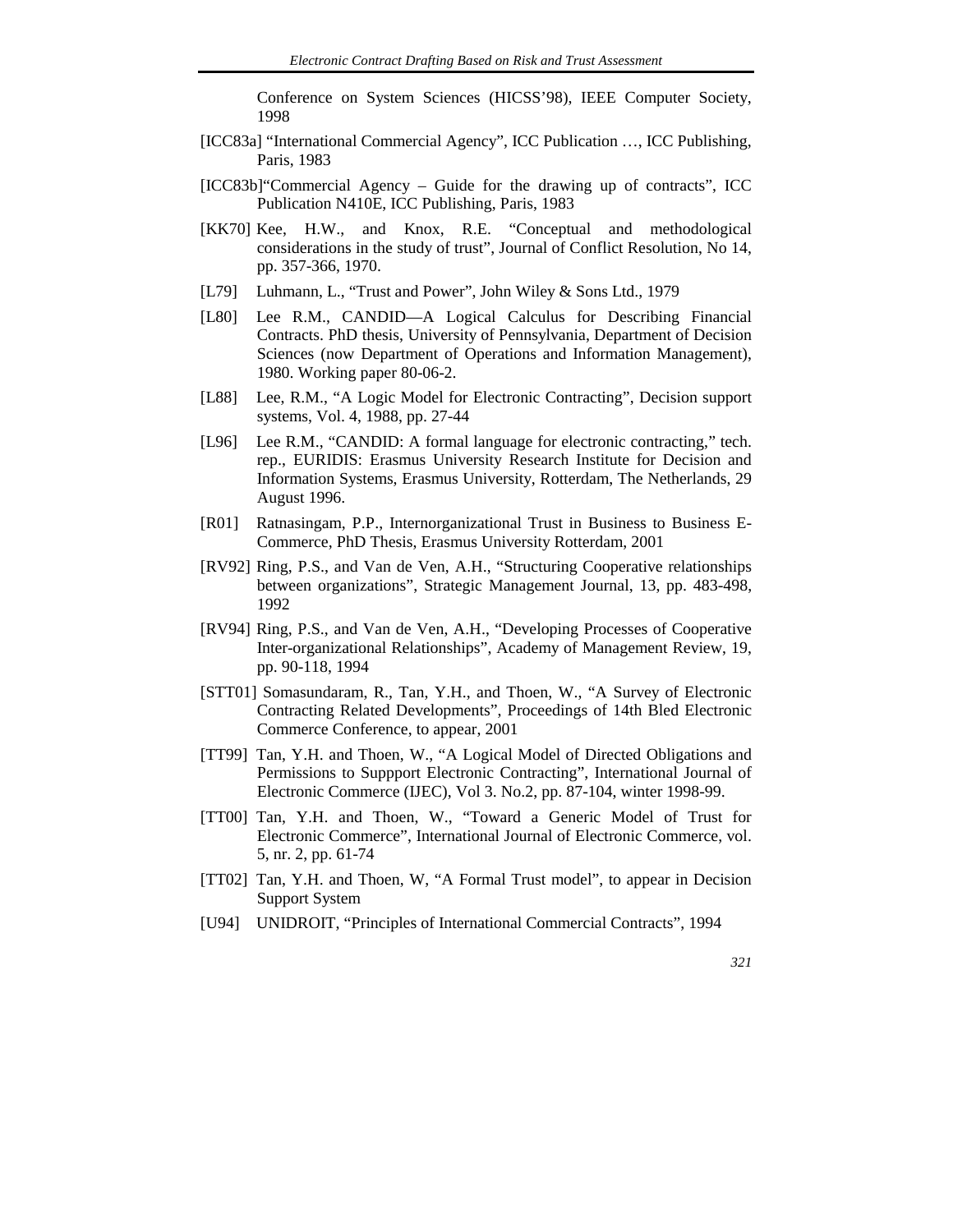Conference on System Sciences (HICSS'98), IEEE Computer Society, 1998

- [ICC83a] "International Commercial Agency", ICC Publication …, ICC Publishing, Paris, 1983
- [ICC83b]"Commercial Agency Guide for the drawing up of contracts", ICC Publication N410E, ICC Publishing, Paris, 1983
- [KK70] Kee, H.W., and Knox, R.E. "Conceptual and methodological considerations in the study of trust", Journal of Conflict Resolution, No 14, pp. 357-366, 1970.
- [L79] Luhmann, L., "Trust and Power", John Wiley & Sons Ltd., 1979
- [L80] Lee R.M., CANDID—A Logical Calculus for Describing Financial Contracts. PhD thesis, University of Pennsylvania, Department of Decision Sciences (now Department of Operations and Information Management), 1980. Working paper 80-06-2.
- [L88] Lee, R.M., "A Logic Model for Electronic Contracting", Decision support systems, Vol. 4, 1988, pp. 27-44
- [L96] Lee R.M., "CANDID: A formal language for electronic contracting," tech. rep., EURIDIS: Erasmus University Research Institute for Decision and Information Systems, Erasmus University, Rotterdam, The Netherlands, 29 August 1996.
- [R01] Ratnasingam, P.P., Internorganizational Trust in Business to Business E-Commerce, PhD Thesis, Erasmus University Rotterdam, 2001
- [RV92] Ring, P.S., and Van de Ven, A.H., "Structuring Cooperative relationships between organizations", Strategic Management Journal, 13, pp. 483-498, 1992
- [RV94] Ring, P.S., and Van de Ven, A.H., "Developing Processes of Cooperative Inter-organizational Relationships", Academy of Management Review, 19, pp. 90-118, 1994
- [STT01] Somasundaram, R., Tan, Y.H., and Thoen, W., "A Survey of Electronic Contracting Related Developments", Proceedings of 14th Bled Electronic Commerce Conference, to appear, 2001
- [TT99] Tan, Y.H. and Thoen, W., "A Logical Model of Directed Obligations and Permissions to Suppport Electronic Contracting", International Journal of Electronic Commerce (IJEC), Vol 3. No.2, pp. 87-104, winter 1998-99.
- [TT00] Tan, Y.H. and Thoen, W., "Toward a Generic Model of Trust for Electronic Commerce", International Journal of Electronic Commerce, vol. 5, nr. 2, pp. 61-74
- [TT02] Tan, Y.H. and Thoen, W, "A Formal Trust model", to appear in Decision Support System
- [U94] UNIDROIT, "Principles of International Commercial Contracts", 1994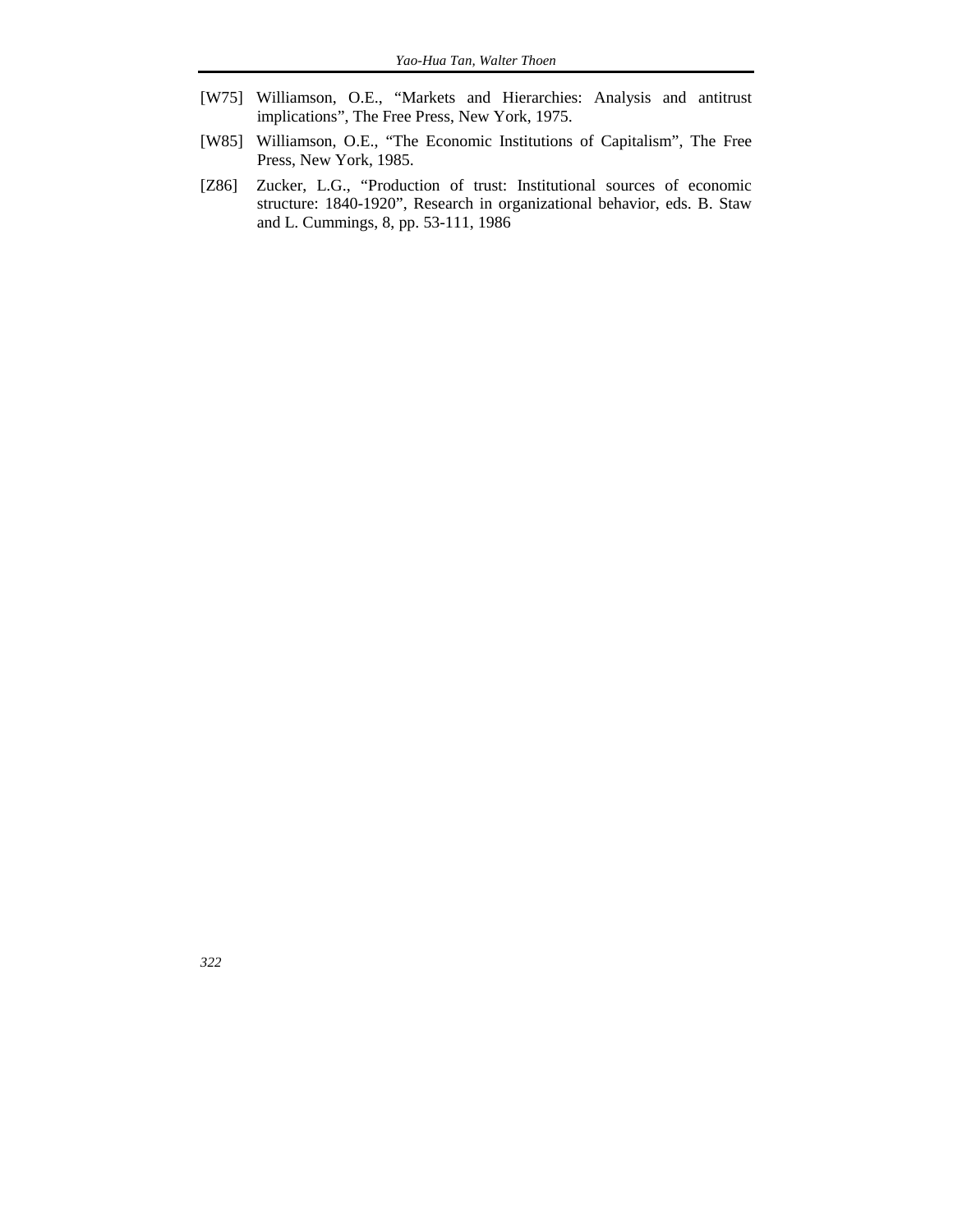- [W75] Williamson, O.E., "Markets and Hierarchies: Analysis and antitrust implications", The Free Press, New York, 1975.
- [W85] Williamson, O.E., "The Economic Institutions of Capitalism", The Free Press, New York, 1985.
- [Z86] Zucker, L.G., "Production of trust: Institutional sources of economic structure: 1840-1920", Research in organizational behavior, eds. B. Staw and L. Cummings, 8, pp. 53-111, 1986